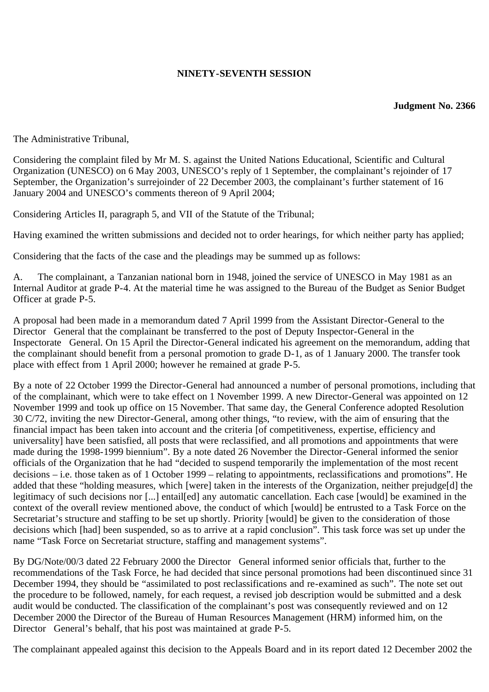### **NINETY-SEVENTH SESSION**

#### **Judgment No. 2366**

The Administrative Tribunal,

Considering the complaint filed by Mr M. S. against the United Nations Educational, Scientific and Cultural Organization (UNESCO) on 6 May 2003, UNESCO's reply of 1 September, the complainant's rejoinder of 17 September, the Organization's surrejoinder of 22 December 2003, the complainant's further statement of 16 January 2004 and UNESCO's comments thereon of 9 April 2004;

Considering Articles II, paragraph 5, and VII of the Statute of the Tribunal;

Having examined the written submissions and decided not to order hearings, for which neither party has applied;

Considering that the facts of the case and the pleadings may be summed up as follows:

A. The complainant, a Tanzanian national born in 1948, joined the service of UNESCO in May 1981 as an Internal Auditor at grade P-4. At the material time he was assigned to the Bureau of the Budget as Senior Budget Officer at grade P-5.

A proposal had been made in a memorandum dated 7 April 1999 from the Assistant Director-General to the Director General that the complainant be transferred to the post of Deputy Inspector-General in the Inspectorate General. On 15 April the Director-General indicated his agreement on the memorandum, adding that the complainant should benefit from a personal promotion to grade D-1, as of 1 January 2000. The transfer took place with effect from 1 April 2000; however he remained at grade P-5.

By a note of 22 October 1999 the Director-General had announced a number of personal promotions, including that of the complainant, which were to take effect on 1 November 1999. A new Director-General was appointed on 12 November 1999 and took up office on 15 November. That same day, the General Conference adopted Resolution 30 C/72, inviting the new Director-General, among other things, "to review, with the aim of ensuring that the financial impact has been taken into account and the criteria [of competitiveness, expertise, efficiency and universality] have been satisfied, all posts that were reclassified, and all promotions and appointments that were made during the 1998-1999 biennium". By a note dated 26 November the Director-General informed the senior officials of the Organization that he had "decided to suspend temporarily the implementation of the most recent decisions – i.e. those taken as of 1 October 1999 – relating to appointments, reclassifications and promotions". He added that these "holding measures, which [were] taken in the interests of the Organization, neither prejudge[d] the legitimacy of such decisions nor [...] entail[ed] any automatic cancellation. Each case [would] be examined in the context of the overall review mentioned above, the conduct of which [would] be entrusted to a Task Force on the Secretariat's structure and staffing to be set up shortly. Priority [would] be given to the consideration of those decisions which [had] been suspended, so as to arrive at a rapid conclusion". This task force was set up under the name "Task Force on Secretariat structure, staffing and management systems".

By DG/Note/00/3 dated 22 February 2000 the Director General informed senior officials that, further to the recommendations of the Task Force, he had decided that since personal promotions had been discontinued since 31 December 1994, they should be "assimilated to post reclassifications and re-examined as such". The note set out the procedure to be followed, namely, for each request, a revised job description would be submitted and a desk audit would be conducted. The classification of the complainant's post was consequently reviewed and on 12 December 2000 the Director of the Bureau of Human Resources Management (HRM) informed him, on the Director General's behalf, that his post was maintained at grade P-5.

The complainant appealed against this decision to the Appeals Board and in its report dated 12 December 2002 the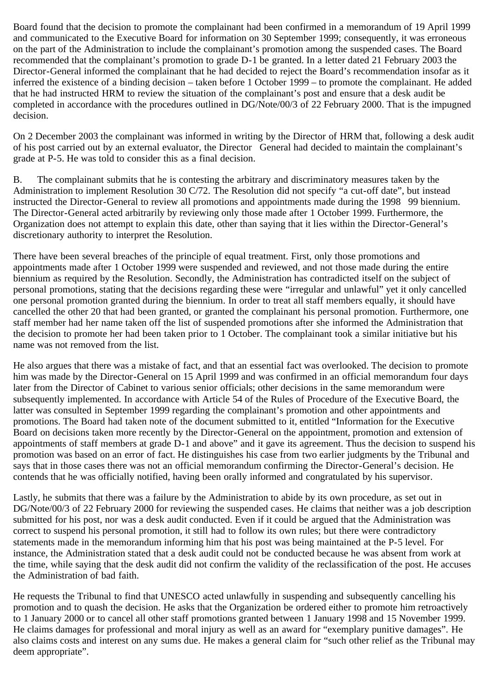Board found that the decision to promote the complainant had been confirmed in a memorandum of 19 April 1999 and communicated to the Executive Board for information on 30 September 1999; consequently, it was erroneous on the part of the Administration to include the complainant's promotion among the suspended cases. The Board recommended that the complainant's promotion to grade D-1 be granted. In a letter dated 21 February 2003 the Director-General informed the complainant that he had decided to reject the Board's recommendation insofar as it inferred the existence of a binding decision – taken before 1 October 1999 – to promote the complainant. He added that he had instructed HRM to review the situation of the complainant's post and ensure that a desk audit be completed in accordance with the procedures outlined in DG/Note/00/3 of 22 February 2000. That is the impugned decision.

On 2 December 2003 the complainant was informed in writing by the Director of HRM that, following a desk audit of his post carried out by an external evaluator, the Director General had decided to maintain the complainant's grade at P-5. He was told to consider this as a final decision.

B. The complainant submits that he is contesting the arbitrary and discriminatory measures taken by the Administration to implement Resolution 30 C/72. The Resolution did not specify "a cut-off date", but instead instructed the Director-General to review all promotions and appointments made during the 1998 99 biennium. The Director-General acted arbitrarily by reviewing only those made after 1 October 1999. Furthermore, the Organization does not attempt to explain this date, other than saying that it lies within the Director-General's discretionary authority to interpret the Resolution.

There have been several breaches of the principle of equal treatment. First, only those promotions and appointments made after 1 October 1999 were suspended and reviewed, and not those made during the entire biennium as required by the Resolution. Secondly, the Administration has contradicted itself on the subject of personal promotions, stating that the decisions regarding these were "irregular and unlawful" yet it only cancelled one personal promotion granted during the biennium. In order to treat all staff members equally, it should have cancelled the other 20 that had been granted, or granted the complainant his personal promotion. Furthermore, one staff member had her name taken off the list of suspended promotions after she informed the Administration that the decision to promote her had been taken prior to 1 October. The complainant took a similar initiative but his name was not removed from the list.

He also argues that there was a mistake of fact, and that an essential fact was overlooked. The decision to promote him was made by the Director-General on 15 April 1999 and was confirmed in an official memorandum four days later from the Director of Cabinet to various senior officials; other decisions in the same memorandum were subsequently implemented. In accordance with Article 54 of the Rules of Procedure of the Executive Board, the latter was consulted in September 1999 regarding the complainant's promotion and other appointments and promotions. The Board had taken note of the document submitted to it, entitled "Information for the Executive Board on decisions taken more recently by the Director-General on the appointment, promotion and extension of appointments of staff members at grade D-1 and above" and it gave its agreement. Thus the decision to suspend his promotion was based on an error of fact. He distinguishes his case from two earlier judgments by the Tribunal and says that in those cases there was not an official memorandum confirming the Director-General's decision. He contends that he was officially notified, having been orally informed and congratulated by his supervisor.

Lastly, he submits that there was a failure by the Administration to abide by its own procedure, as set out in DG/Note/00/3 of 22 February 2000 for reviewing the suspended cases. He claims that neither was a job description submitted for his post, nor was a desk audit conducted. Even if it could be argued that the Administration was correct to suspend his personal promotion, it still had to follow its own rules; but there were contradictory statements made in the memorandum informing him that his post was being maintained at the P-5 level. For instance, the Administration stated that a desk audit could not be conducted because he was absent from work at the time, while saying that the desk audit did not confirm the validity of the reclassification of the post. He accuses the Administration of bad faith.

He requests the Tribunal to find that UNESCO acted unlawfully in suspending and subsequently cancelling his promotion and to quash the decision. He asks that the Organization be ordered either to promote him retroactively to 1 January 2000 or to cancel all other staff promotions granted between 1 January 1998 and 15 November 1999. He claims damages for professional and moral injury as well as an award for "exemplary punitive damages". He also claims costs and interest on any sums due. He makes a general claim for "such other relief as the Tribunal may deem appropriate".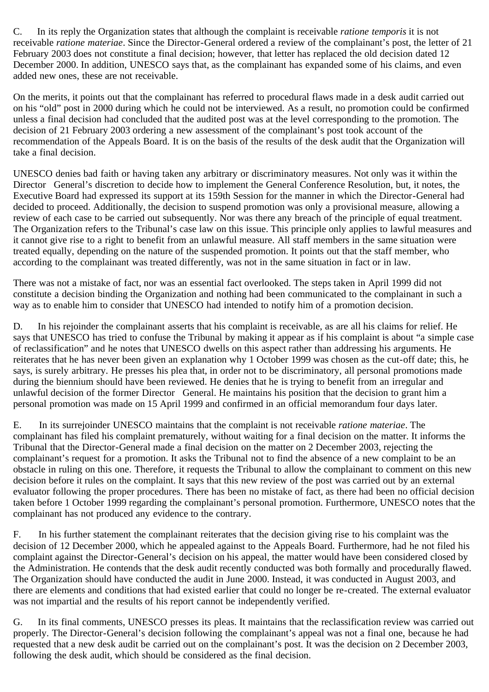C. In its reply the Organization states that although the complaint is receivable *ratione temporis* it is not receivable *ratione materiae*. Since the Director-General ordered a review of the complainant's post, the letter of 21 February 2003 does not constitute a final decision; however, that letter has replaced the old decision dated 12 December 2000. In addition, UNESCO says that, as the complainant has expanded some of his claims, and even added new ones, these are not receivable.

On the merits, it points out that the complainant has referred to procedural flaws made in a desk audit carried out on his "old" post in 2000 during which he could not be interviewed. As a result, no promotion could be confirmed unless a final decision had concluded that the audited post was at the level corresponding to the promotion. The decision of 21 February 2003 ordering a new assessment of the complainant's post took account of the recommendation of the Appeals Board. It is on the basis of the results of the desk audit that the Organization will take a final decision.

UNESCO denies bad faith or having taken any arbitrary or discriminatory measures. Not only was it within the Director General's discretion to decide how to implement the General Conference Resolution, but, it notes, the Executive Board had expressed its support at its 159th Session for the manner in which the Director-General had decided to proceed. Additionally, the decision to suspend promotion was only a provisional measure, allowing a review of each case to be carried out subsequently. Nor was there any breach of the principle of equal treatment. The Organization refers to the Tribunal's case law on this issue. This principle only applies to lawful measures and it cannot give rise to a right to benefit from an unlawful measure. All staff members in the same situation were treated equally, depending on the nature of the suspended promotion. It points out that the staff member, who according to the complainant was treated differently, was not in the same situation in fact or in law.

There was not a mistake of fact, nor was an essential fact overlooked. The steps taken in April 1999 did not constitute a decision binding the Organization and nothing had been communicated to the complainant in such a way as to enable him to consider that UNESCO had intended to notify him of a promotion decision.

D. In his rejoinder the complainant asserts that his complaint is receivable, as are all his claims for relief. He says that UNESCO has tried to confuse the Tribunal by making it appear as if his complaint is about "a simple case of reclassification" and he notes that UNESCO dwells on this aspect rather than addressing his arguments. He reiterates that he has never been given an explanation why 1 October 1999 was chosen as the cut-off date; this, he says, is surely arbitrary. He presses his plea that, in order not to be discriminatory, all personal promotions made during the biennium should have been reviewed. He denies that he is trying to benefit from an irregular and unlawful decision of the former Director General. He maintains his position that the decision to grant him a personal promotion was made on 15 April 1999 and confirmed in an official memorandum four days later.

E. In its surrejoinder UNESCO maintains that the complaint is not receivable *ratione materiae*. The complainant has filed his complaint prematurely, without waiting for a final decision on the matter. It informs the Tribunal that the Director-General made a final decision on the matter on 2 December 2003, rejecting the complainant's request for a promotion. It asks the Tribunal not to find the absence of a new complaint to be an obstacle in ruling on this one. Therefore, it requests the Tribunal to allow the complainant to comment on this new decision before it rules on the complaint. It says that this new review of the post was carried out by an external evaluator following the proper procedures. There has been no mistake of fact, as there had been no official decision taken before 1 October 1999 regarding the complainant's personal promotion. Furthermore, UNESCO notes that the complainant has not produced any evidence to the contrary.

F. In his further statement the complainant reiterates that the decision giving rise to his complaint was the decision of 12 December 2000, which he appealed against to the Appeals Board. Furthermore, had he not filed his complaint against the Director-General's decision on his appeal, the matter would have been considered closed by the Administration. He contends that the desk audit recently conducted was both formally and procedurally flawed. The Organization should have conducted the audit in June 2000. Instead, it was conducted in August 2003, and there are elements and conditions that had existed earlier that could no longer be re-created. The external evaluator was not impartial and the results of his report cannot be independently verified.

G. In its final comments, UNESCO presses its pleas. It maintains that the reclassification review was carried out properly. The Director-General's decision following the complainant's appeal was not a final one, because he had requested that a new desk audit be carried out on the complainant's post. It was the decision on 2 December 2003, following the desk audit, which should be considered as the final decision.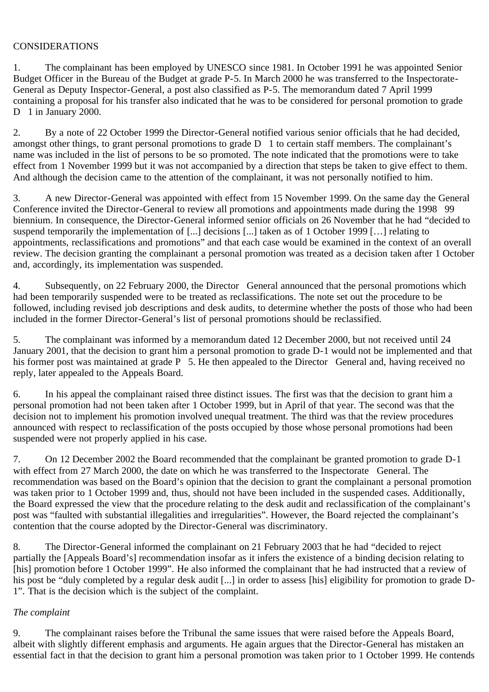### CONSIDERATIONS

1. The complainant has been employed by UNESCO since 1981. In October 1991 he was appointed Senior Budget Officer in the Bureau of the Budget at grade P-5. In March 2000 he was transferred to the Inspectorate-General as Deputy Inspector-General, a post also classified as P-5. The memorandum dated 7 April 1999 containing a proposal for his transfer also indicated that he was to be considered for personal promotion to grade D 1 in January 2000.

2. By a note of 22 October 1999 the Director-General notified various senior officials that he had decided, amongst other things, to grant personal promotions to grade D 1 to certain staff members. The complainant's name was included in the list of persons to be so promoted. The note indicated that the promotions were to take effect from 1 November 1999 but it was not accompanied by a direction that steps be taken to give effect to them. And although the decision came to the attention of the complainant, it was not personally notified to him.

3. A new Director-General was appointed with effect from 15 November 1999. On the same day the General Conference invited the Director-General to review all promotions and appointments made during the 1998 99 biennium. In consequence, the Director-General informed senior officials on 26 November that he had "decided to suspend temporarily the implementation of [...] decisions [...] taken as of 1 October 1999 […] relating to appointments, reclassifications and promotions" and that each case would be examined in the context of an overall review. The decision granting the complainant a personal promotion was treated as a decision taken after 1 October and, accordingly, its implementation was suspended.

4. Subsequently, on 22 February 2000, the Director General announced that the personal promotions which had been temporarily suspended were to be treated as reclassifications. The note set out the procedure to be followed, including revised job descriptions and desk audits, to determine whether the posts of those who had been included in the former Director-General's list of personal promotions should be reclassified.

5. The complainant was informed by a memorandum dated 12 December 2000, but not received until 24 January 2001, that the decision to grant him a personal promotion to grade D-1 would not be implemented and that his former post was maintained at grade P 5. He then appealed to the Director General and, having received no reply, later appealed to the Appeals Board.

6. In his appeal the complainant raised three distinct issues. The first was that the decision to grant him a personal promotion had not been taken after 1 October 1999, but in April of that year. The second was that the decision not to implement his promotion involved unequal treatment. The third was that the review procedures announced with respect to reclassification of the posts occupied by those whose personal promotions had been suspended were not properly applied in his case.

7. On 12 December 2002 the Board recommended that the complainant be granted promotion to grade D-1 with effect from 27 March 2000, the date on which he was transferred to the Inspectorate General. The recommendation was based on the Board's opinion that the decision to grant the complainant a personal promotion was taken prior to 1 October 1999 and, thus, should not have been included in the suspended cases. Additionally, the Board expressed the view that the procedure relating to the desk audit and reclassification of the complainant's post was "faulted with substantial illegalities and irregularities". However, the Board rejected the complainant's contention that the course adopted by the Director-General was discriminatory.

8. The Director-General informed the complainant on 21 February 2003 that he had "decided to reject partially the [Appeals Board's] recommendation insofar as it infers the existence of a binding decision relating to [his] promotion before 1 October 1999". He also informed the complainant that he had instructed that a review of his post be "duly completed by a regular desk audit [...] in order to assess [his] eligibility for promotion to grade D-1". That is the decision which is the subject of the complaint.

#### *The complaint*

9. The complainant raises before the Tribunal the same issues that were raised before the Appeals Board, albeit with slightly different emphasis and arguments. He again argues that the Director-General has mistaken an essential fact in that the decision to grant him a personal promotion was taken prior to 1 October 1999. He contends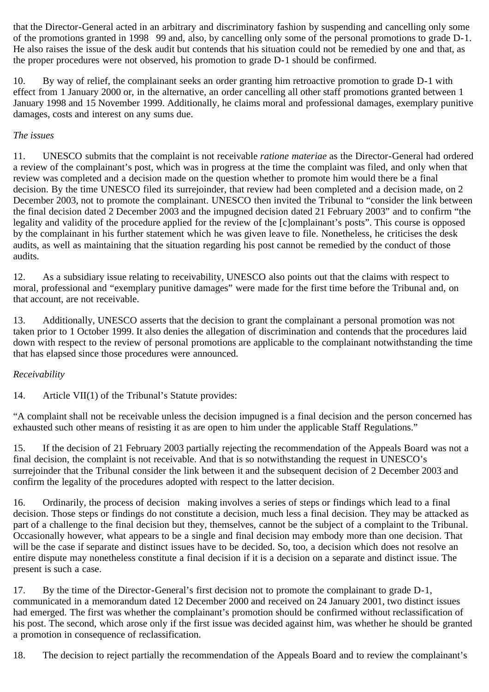that the Director-General acted in an arbitrary and discriminatory fashion by suspending and cancelling only some of the promotions granted in 1998 99 and, also, by cancelling only some of the personal promotions to grade D-1. He also raises the issue of the desk audit but contends that his situation could not be remedied by one and that, as the proper procedures were not observed, his promotion to grade D-1 should be confirmed.

10. By way of relief, the complainant seeks an order granting him retroactive promotion to grade D-1 with effect from 1 January 2000 or, in the alternative, an order cancelling all other staff promotions granted between 1 January 1998 and 15 November 1999. Additionally, he claims moral and professional damages, exemplary punitive damages, costs and interest on any sums due.

## *The issues*

11. UNESCO submits that the complaint is not receivable *ratione materiae* as the Director-General had ordered a review of the complainant's post, which was in progress at the time the complaint was filed, and only when that review was completed and a decision made on the question whether to promote him would there be a final decision. By the time UNESCO filed its surrejoinder, that review had been completed and a decision made, on 2 December 2003, not to promote the complainant. UNESCO then invited the Tribunal to "consider the link between the final decision dated 2 December 2003 and the impugned decision dated 21 February 2003" and to confirm "the legality and validity of the procedure applied for the review of the [c]omplainant's posts". This course is opposed by the complainant in his further statement which he was given leave to file. Nonetheless, he criticises the desk audits, as well as maintaining that the situation regarding his post cannot be remedied by the conduct of those audits.

12. As a subsidiary issue relating to receivability, UNESCO also points out that the claims with respect to moral, professional and "exemplary punitive damages" were made for the first time before the Tribunal and, on that account, are not receivable.

13. Additionally, UNESCO asserts that the decision to grant the complainant a personal promotion was not taken prior to 1 October 1999. It also denies the allegation of discrimination and contends that the procedures laid down with respect to the review of personal promotions are applicable to the complainant notwithstanding the time that has elapsed since those procedures were announced.

# *Receivability*

14. Article VII(1) of the Tribunal's Statute provides:

"A complaint shall not be receivable unless the decision impugned is a final decision and the person concerned has exhausted such other means of resisting it as are open to him under the applicable Staff Regulations."

15. If the decision of 21 February 2003 partially rejecting the recommendation of the Appeals Board was not a final decision, the complaint is not receivable. And that is so notwithstanding the request in UNESCO's surrejoinder that the Tribunal consider the link between it and the subsequent decision of 2 December 2003 and confirm the legality of the procedures adopted with respect to the latter decision.

16. Ordinarily, the process of decision making involves a series of steps or findings which lead to a final decision. Those steps or findings do not constitute a decision, much less a final decision. They may be attacked as part of a challenge to the final decision but they, themselves, cannot be the subject of a complaint to the Tribunal. Occasionally however, what appears to be a single and final decision may embody more than one decision. That will be the case if separate and distinct issues have to be decided. So, too, a decision which does not resolve an entire dispute may nonetheless constitute a final decision if it is a decision on a separate and distinct issue. The present is such a case.

17. By the time of the Director-General's first decision not to promote the complainant to grade D-1, communicated in a memorandum dated 12 December 2000 and received on 24 January 2001, two distinct issues had emerged. The first was whether the complainant's promotion should be confirmed without reclassification of his post. The second, which arose only if the first issue was decided against him, was whether he should be granted a promotion in consequence of reclassification.

18. The decision to reject partially the recommendation of the Appeals Board and to review the complainant's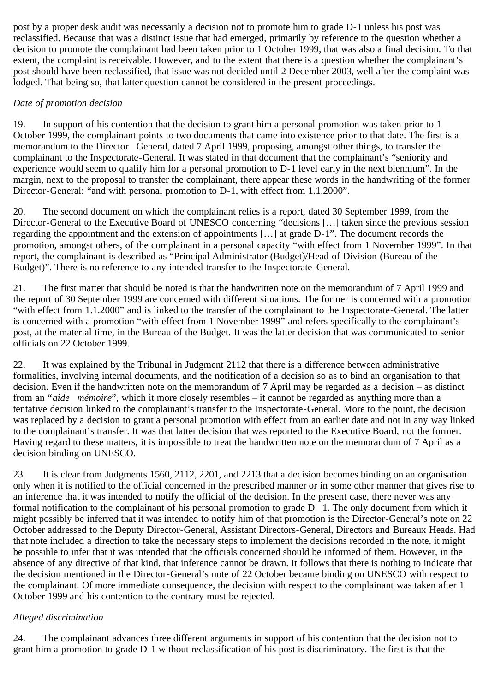post by a proper desk audit was necessarily a decision not to promote him to grade D-1 unless his post was reclassified. Because that was a distinct issue that had emerged, primarily by reference to the question whether a decision to promote the complainant had been taken prior to 1 October 1999, that was also a final decision. To that extent, the complaint is receivable. However, and to the extent that there is a question whether the complainant's post should have been reclassified, that issue was not decided until 2 December 2003, well after the complaint was lodged. That being so, that latter question cannot be considered in the present proceedings.

## *Date of promotion decision*

19. In support of his contention that the decision to grant him a personal promotion was taken prior to 1 October 1999, the complainant points to two documents that came into existence prior to that date. The first is a memorandum to the Director General, dated 7 April 1999, proposing, amongst other things, to transfer the complainant to the Inspectorate-General. It was stated in that document that the complainant's "seniority and experience would seem to qualify him for a personal promotion to D-1 level early in the next biennium". In the margin, next to the proposal to transfer the complainant, there appear these words in the handwriting of the former Director-General: "and with personal promotion to D-1, with effect from 1.1.2000".

20. The second document on which the complainant relies is a report, dated 30 September 1999, from the Director-General to the Executive Board of UNESCO concerning "decisions […] taken since the previous session regarding the appointment and the extension of appointments […] at grade D-1". The document records the promotion, amongst others, of the complainant in a personal capacity "with effect from 1 November 1999". In that report, the complainant is described as "Principal Administrator (Budget)/Head of Division (Bureau of the Budget)". There is no reference to any intended transfer to the Inspectorate-General.

21. The first matter that should be noted is that the handwritten note on the memorandum of 7 April 1999 and the report of 30 September 1999 are concerned with different situations. The former is concerned with a promotion "with effect from 1.1.2000" and is linked to the transfer of the complainant to the Inspectorate-General. The latter is concerned with a promotion "with effect from 1 November 1999" and refers specifically to the complainant's post, at the material time, in the Bureau of the Budget. It was the latter decision that was communicated to senior officials on 22 October 1999.

22. It was explained by the Tribunal in Judgment 2112 that there is a difference between administrative formalities, involving internal documents, and the notification of a decision so as to bind an organisation to that decision. Even if the handwritten note on the memorandum of 7 April may be regarded as a decision – as distinct from an "*aide mémoire*", which it more closely resembles – it cannot be regarded as anything more than a tentative decision linked to the complainant's transfer to the Inspectorate-General. More to the point, the decision was replaced by a decision to grant a personal promotion with effect from an earlier date and not in any way linked to the complainant's transfer. It was that latter decision that was reported to the Executive Board, not the former. Having regard to these matters, it is impossible to treat the handwritten note on the memorandum of 7 April as a decision binding on UNESCO.

23. It is clear from Judgments 1560, 2112, 2201, and 2213 that a decision becomes binding on an organisation only when it is notified to the official concerned in the prescribed manner or in some other manner that gives rise to an inference that it was intended to notify the official of the decision. In the present case, there never was any formal notification to the complainant of his personal promotion to grade D 1. The only document from which it might possibly be inferred that it was intended to notify him of that promotion is the Director-General's note on 22 October addressed to the Deputy Director-General, Assistant Directors-General, Directors and Bureaux Heads. Had that note included a direction to take the necessary steps to implement the decisions recorded in the note, it might be possible to infer that it was intended that the officials concerned should be informed of them. However, in the absence of any directive of that kind, that inference cannot be drawn. It follows that there is nothing to indicate that the decision mentioned in the Director-General's note of 22 October became binding on UNESCO with respect to the complainant. Of more immediate consequence, the decision with respect to the complainant was taken after 1 October 1999 and his contention to the contrary must be rejected.

# *Alleged discrimination*

24. The complainant advances three different arguments in support of his contention that the decision not to grant him a promotion to grade D-1 without reclassification of his post is discriminatory. The first is that the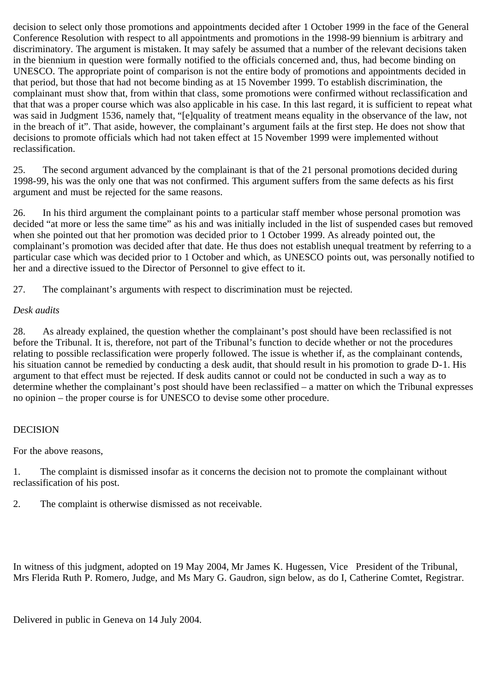decision to select only those promotions and appointments decided after 1 October 1999 in the face of the General Conference Resolution with respect to all appointments and promotions in the 1998-99 biennium is arbitrary and discriminatory. The argument is mistaken. It may safely be assumed that a number of the relevant decisions taken in the biennium in question were formally notified to the officials concerned and, thus, had become binding on UNESCO. The appropriate point of comparison is not the entire body of promotions and appointments decided in that period, but those that had not become binding as at 15 November 1999. To establish discrimination, the complainant must show that, from within that class, some promotions were confirmed without reclassification and that that was a proper course which was also applicable in his case. In this last regard, it is sufficient to repeat what was said in Judgment 1536, namely that, "[e]quality of treatment means equality in the observance of the law, not in the breach of it". That aside, however, the complainant's argument fails at the first step. He does not show that decisions to promote officials which had not taken effect at 15 November 1999 were implemented without reclassification.

25. The second argument advanced by the complainant is that of the 21 personal promotions decided during 1998-99, his was the only one that was not confirmed. This argument suffers from the same defects as his first argument and must be rejected for the same reasons.

26. In his third argument the complainant points to a particular staff member whose personal promotion was decided "at more or less the same time" as his and was initially included in the list of suspended cases but removed when she pointed out that her promotion was decided prior to 1 October 1999. As already pointed out, the complainant's promotion was decided after that date. He thus does not establish unequal treatment by referring to a particular case which was decided prior to 1 October and which, as UNESCO points out, was personally notified to her and a directive issued to the Director of Personnel to give effect to it.

27. The complainant's arguments with respect to discrimination must be rejected.

### *Desk audits*

28. As already explained, the question whether the complainant's post should have been reclassified is not before the Tribunal. It is, therefore, not part of the Tribunal's function to decide whether or not the procedures relating to possible reclassification were properly followed. The issue is whether if, as the complainant contends, his situation cannot be remedied by conducting a desk audit, that should result in his promotion to grade D-1. His argument to that effect must be rejected. If desk audits cannot or could not be conducted in such a way as to determine whether the complainant's post should have been reclassified – a matter on which the Tribunal expresses no opinion – the proper course is for UNESCO to devise some other procedure.

## DECISION

For the above reasons,

1. The complaint is dismissed insofar as it concerns the decision not to promote the complainant without reclassification of his post.

2. The complaint is otherwise dismissed as not receivable.

In witness of this judgment, adopted on 19 May 2004, Mr James K. Hugessen, Vice President of the Tribunal, Mrs Flerida Ruth P. Romero, Judge, and Ms Mary G. Gaudron, sign below, as do I, Catherine Comtet, Registrar.

Delivered in public in Geneva on 14 July 2004.